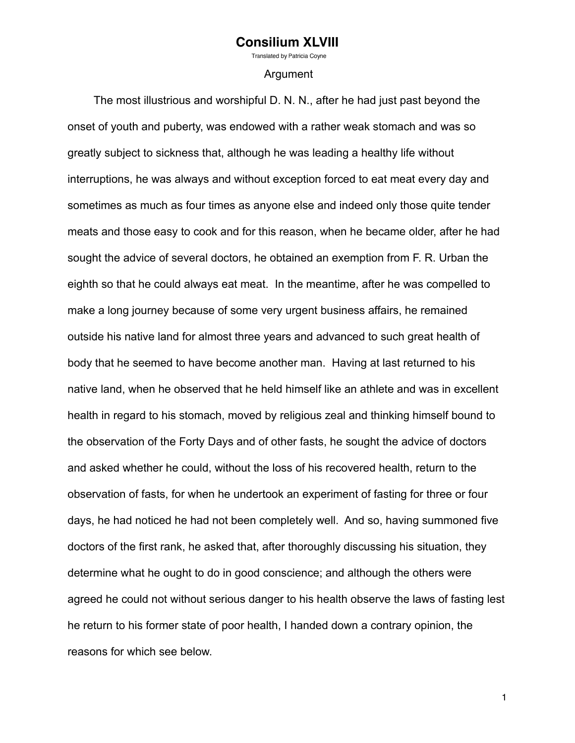Translated by Patricia Covne

#### Argument

 The most illustrious and worshipful D. N. N., after he had just past beyond the onset of youth and puberty, was endowed with a rather weak stomach and was so greatly subject to sickness that, although he was leading a healthy life without interruptions, he was always and without exception forced to eat meat every day and sometimes as much as four times as anyone else and indeed only those quite tender meats and those easy to cook and for this reason, when he became older, after he had sought the advice of several doctors, he obtained an exemption from F. R. Urban the eighth so that he could always eat meat. In the meantime, after he was compelled to make a long journey because of some very urgent business affairs, he remained outside his native land for almost three years and advanced to such great health of body that he seemed to have become another man. Having at last returned to his native land, when he observed that he held himself like an athlete and was in excellent health in regard to his stomach, moved by religious zeal and thinking himself bound to the observation of the Forty Days and of other fasts, he sought the advice of doctors and asked whether he could, without the loss of his recovered health, return to the observation of fasts, for when he undertook an experiment of fasting for three or four days, he had noticed he had not been completely well. And so, having summoned five doctors of the first rank, he asked that, after thoroughly discussing his situation, they determine what he ought to do in good conscience; and although the others were agreed he could not without serious danger to his health observe the laws of fasting lest he return to his former state of poor health, I handed down a contrary opinion, the reasons for which see below.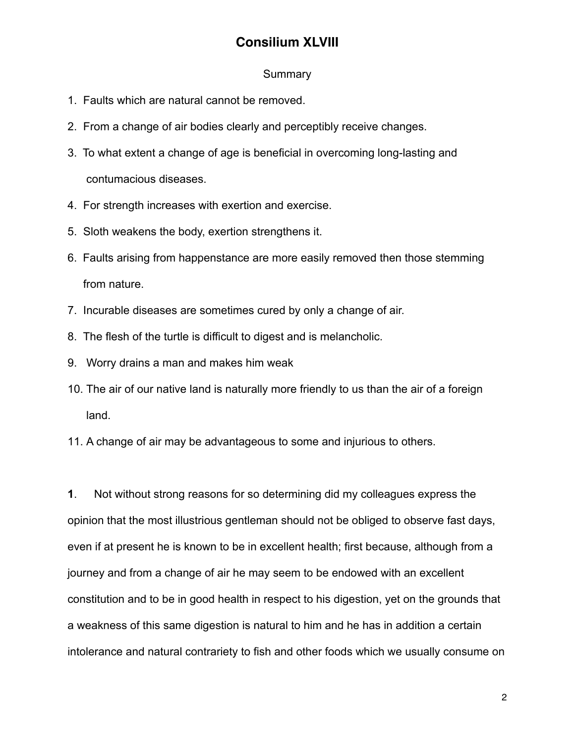#### **Summary**

- 1. Faults which are natural cannot be removed.
- 2. From a change of air bodies clearly and perceptibly receive changes.
- 3. To what extent a change of age is beneficial in overcoming long-lasting and contumacious diseases.
- 4. For strength increases with exertion and exercise.
- 5. Sloth weakens the body, exertion strengthens it.
- 6. Faults arising from happenstance are more easily removed then those stemming from nature.
- 7. Incurable diseases are sometimes cured by only a change of air.
- 8. The flesh of the turtle is difficult to digest and is melancholic.
- 9. Worry drains a man and makes him weak
- 10. The air of our native land is naturally more friendly to us than the air of a foreign land.
- 11. A change of air may be advantageous to some and injurious to others.

**1**. Not without strong reasons for so determining did my colleagues express the opinion that the most illustrious gentleman should not be obliged to observe fast days, even if at present he is known to be in excellent health; first because, although from a journey and from a change of air he may seem to be endowed with an excellent constitution and to be in good health in respect to his digestion, yet on the grounds that a weakness of this same digestion is natural to him and he has in addition a certain intolerance and natural contrariety to fish and other foods which we usually consume on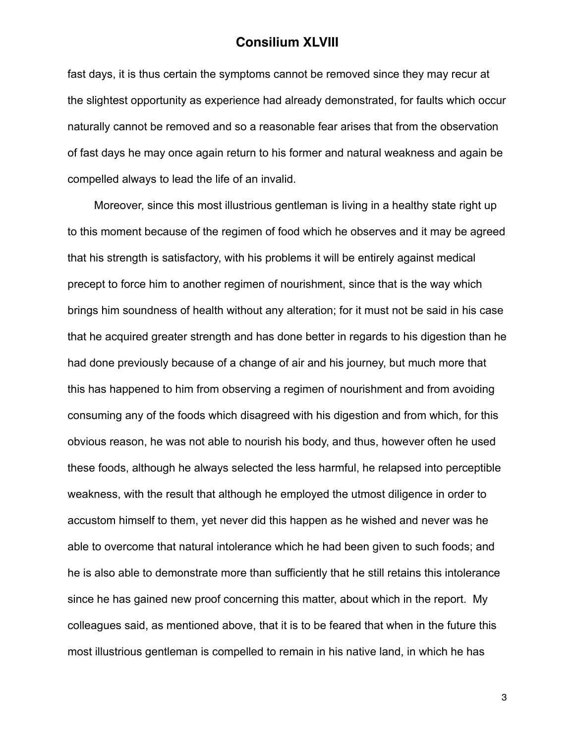fast days, it is thus certain the symptoms cannot be removed since they may recur at the slightest opportunity as experience had already demonstrated, for faults which occur naturally cannot be removed and so a reasonable fear arises that from the observation of fast days he may once again return to his former and natural weakness and again be compelled always to lead the life of an invalid.

 Moreover, since this most illustrious gentleman is living in a healthy state right up to this moment because of the regimen of food which he observes and it may be agreed that his strength is satisfactory, with his problems it will be entirely against medical precept to force him to another regimen of nourishment, since that is the way which brings him soundness of health without any alteration; for it must not be said in his case that he acquired greater strength and has done better in regards to his digestion than he had done previously because of a change of air and his journey, but much more that this has happened to him from observing a regimen of nourishment and from avoiding consuming any of the foods which disagreed with his digestion and from which, for this obvious reason, he was not able to nourish his body, and thus, however often he used these foods, although he always selected the less harmful, he relapsed into perceptible weakness, with the result that although he employed the utmost diligence in order to accustom himself to them, yet never did this happen as he wished and never was he able to overcome that natural intolerance which he had been given to such foods; and he is also able to demonstrate more than sufficiently that he still retains this intolerance since he has gained new proof concerning this matter, about which in the report. My colleagues said, as mentioned above, that it is to be feared that when in the future this most illustrious gentleman is compelled to remain in his native land, in which he has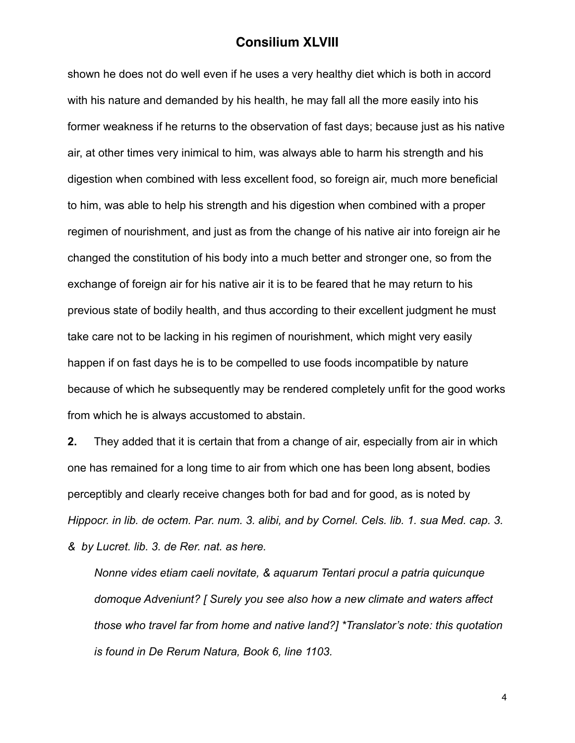shown he does not do well even if he uses a very healthy diet which is both in accord with his nature and demanded by his health, he may fall all the more easily into his former weakness if he returns to the observation of fast days; because just as his native air, at other times very inimical to him, was always able to harm his strength and his digestion when combined with less excellent food, so foreign air, much more beneficial to him, was able to help his strength and his digestion when combined with a proper regimen of nourishment, and just as from the change of his native air into foreign air he changed the constitution of his body into a much better and stronger one, so from the exchange of foreign air for his native air it is to be feared that he may return to his previous state of bodily health, and thus according to their excellent judgment he must take care not to be lacking in his regimen of nourishment, which might very easily happen if on fast days he is to be compelled to use foods incompatible by nature because of which he subsequently may be rendered completely unfit for the good works from which he is always accustomed to abstain.

**2.** They added that it is certain that from a change of air, especially from air in which one has remained for a long time to air from which one has been long absent, bodies perceptibly and clearly receive changes both for bad and for good, as is noted by *Hippocr. in lib. de octem. Par. num. 3. alibi, and by Cornel. Cels. lib. 1. sua Med. cap. 3. & by Lucret. lib. 3. de Rer. nat. as here.*

*Nonne vides etiam caeli novitate, & aquarum Tentari procul a patria quicunque domoque Adveniunt? [ Surely you see also how a new climate and waters affect those who travel far from home and native land?] \*Translator's note: this quotation is found in De Rerum Natura, Book 6, line 1103.*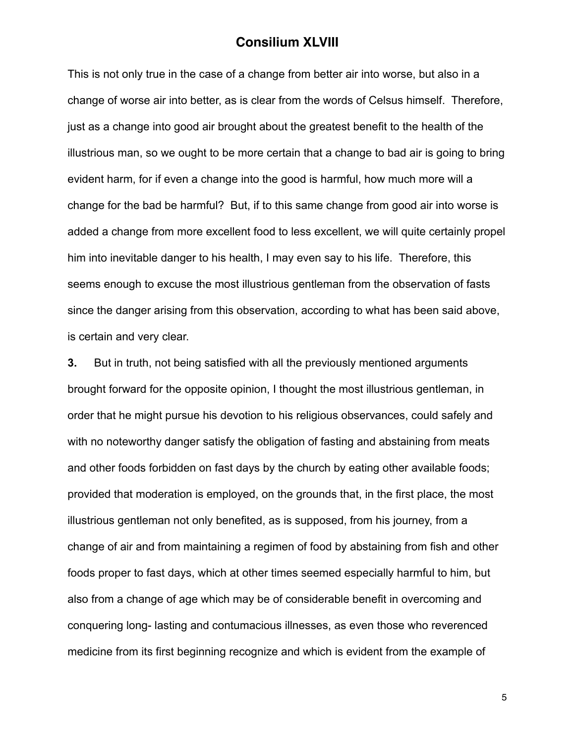This is not only true in the case of a change from better air into worse, but also in a change of worse air into better, as is clear from the words of Celsus himself. Therefore, just as a change into good air brought about the greatest benefit to the health of the illustrious man, so we ought to be more certain that a change to bad air is going to bring evident harm, for if even a change into the good is harmful, how much more will a change for the bad be harmful? But, if to this same change from good air into worse is added a change from more excellent food to less excellent, we will quite certainly propel him into inevitable danger to his health, I may even say to his life. Therefore, this seems enough to excuse the most illustrious gentleman from the observation of fasts since the danger arising from this observation, according to what has been said above, is certain and very clear.

**3.** But in truth, not being satisfied with all the previously mentioned arguments brought forward for the opposite opinion, I thought the most illustrious gentleman, in order that he might pursue his devotion to his religious observances, could safely and with no noteworthy danger satisfy the obligation of fasting and abstaining from meats and other foods forbidden on fast days by the church by eating other available foods; provided that moderation is employed, on the grounds that, in the first place, the most illustrious gentleman not only benefited, as is supposed, from his journey, from a change of air and from maintaining a regimen of food by abstaining from fish and other foods proper to fast days, which at other times seemed especially harmful to him, but also from a change of age which may be of considerable benefit in overcoming and conquering long- lasting and contumacious illnesses, as even those who reverenced medicine from its first beginning recognize and which is evident from the example of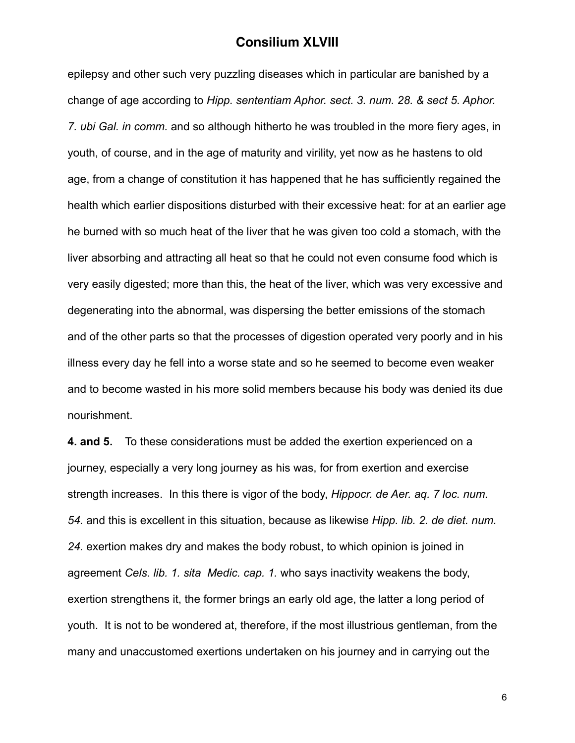epilepsy and other such very puzzling diseases which in particular are banished by a change of age according to *Hipp. sententiam Aphor. sect. 3. num. 28. & sect 5. Aphor. 7. ubi Gal. in comm.* and so although hitherto he was troubled in the more fiery ages, in youth, of course, and in the age of maturity and virility, yet now as he hastens to old age, from a change of constitution it has happened that he has sufficiently regained the health which earlier dispositions disturbed with their excessive heat: for at an earlier age he burned with so much heat of the liver that he was given too cold a stomach, with the liver absorbing and attracting all heat so that he could not even consume food which is very easily digested; more than this, the heat of the liver, which was very excessive and degenerating into the abnormal, was dispersing the better emissions of the stomach and of the other parts so that the processes of digestion operated very poorly and in his illness every day he fell into a worse state and so he seemed to become even weaker and to become wasted in his more solid members because his body was denied its due nourishment.

**4. and 5.** To these considerations must be added the exertion experienced on a journey, especially a very long journey as his was, for from exertion and exercise strength increases. In this there is vigor of the body, *Hippocr. de Aer. aq. 7 loc. num. 54.* and this is excellent in this situation, because as likewise *Hipp. lib. 2. de diet. num. 24.* exertion makes dry and makes the body robust, to which opinion is joined in agreement *Cels. lib. 1. sita Medic. cap. 1.* who says inactivity weakens the body, exertion strengthens it, the former brings an early old age, the latter a long period of youth. It is not to be wondered at, therefore, if the most illustrious gentleman, from the many and unaccustomed exertions undertaken on his journey and in carrying out the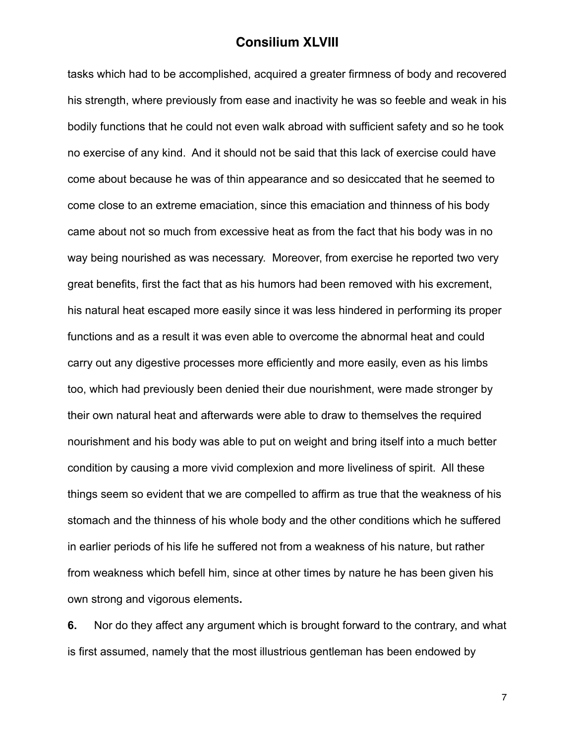tasks which had to be accomplished, acquired a greater firmness of body and recovered his strength, where previously from ease and inactivity he was so feeble and weak in his bodily functions that he could not even walk abroad with sufficient safety and so he took no exercise of any kind. And it should not be said that this lack of exercise could have come about because he was of thin appearance and so desiccated that he seemed to come close to an extreme emaciation, since this emaciation and thinness of his body came about not so much from excessive heat as from the fact that his body was in no way being nourished as was necessary. Moreover, from exercise he reported two very great benefits, first the fact that as his humors had been removed with his excrement, his natural heat escaped more easily since it was less hindered in performing its proper functions and as a result it was even able to overcome the abnormal heat and could carry out any digestive processes more efficiently and more easily, even as his limbs too, which had previously been denied their due nourishment, were made stronger by their own natural heat and afterwards were able to draw to themselves the required nourishment and his body was able to put on weight and bring itself into a much better condition by causing a more vivid complexion and more liveliness of spirit. All these things seem so evident that we are compelled to affirm as true that the weakness of his stomach and the thinness of his whole body and the other conditions which he suffered in earlier periods of his life he suffered not from a weakness of his nature, but rather from weakness which befell him, since at other times by nature he has been given his own strong and vigorous elements**.**

**6.** Nor do they affect any argument which is brought forward to the contrary, and what is first assumed, namely that the most illustrious gentleman has been endowed by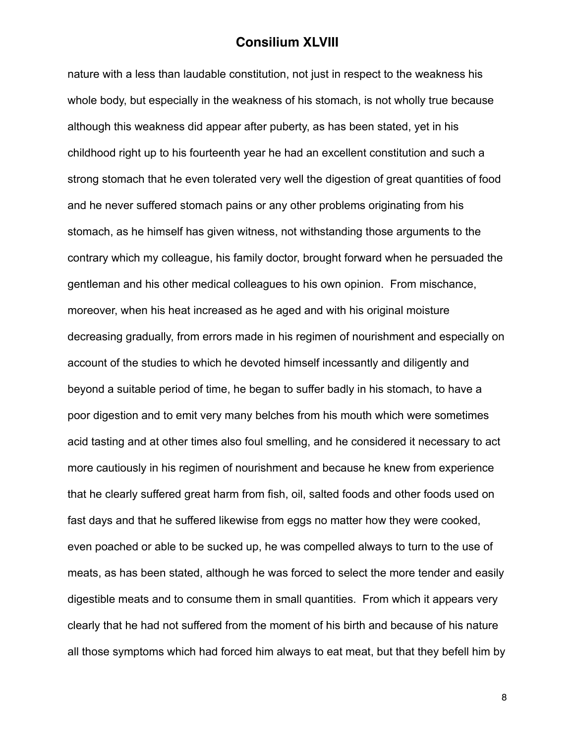nature with a less than laudable constitution, not just in respect to the weakness his whole body, but especially in the weakness of his stomach, is not wholly true because although this weakness did appear after puberty, as has been stated, yet in his childhood right up to his fourteenth year he had an excellent constitution and such a strong stomach that he even tolerated very well the digestion of great quantities of food and he never suffered stomach pains or any other problems originating from his stomach, as he himself has given witness, not withstanding those arguments to the contrary which my colleague, his family doctor, brought forward when he persuaded the gentleman and his other medical colleagues to his own opinion. From mischance, moreover, when his heat increased as he aged and with his original moisture decreasing gradually, from errors made in his regimen of nourishment and especially on account of the studies to which he devoted himself incessantly and diligently and beyond a suitable period of time, he began to suffer badly in his stomach, to have a poor digestion and to emit very many belches from his mouth which were sometimes acid tasting and at other times also foul smelling, and he considered it necessary to act more cautiously in his regimen of nourishment and because he knew from experience that he clearly suffered great harm from fish, oil, salted foods and other foods used on fast days and that he suffered likewise from eggs no matter how they were cooked, even poached or able to be sucked up, he was compelled always to turn to the use of meats, as has been stated, although he was forced to select the more tender and easily digestible meats and to consume them in small quantities. From which it appears very clearly that he had not suffered from the moment of his birth and because of his nature all those symptoms which had forced him always to eat meat, but that they befell him by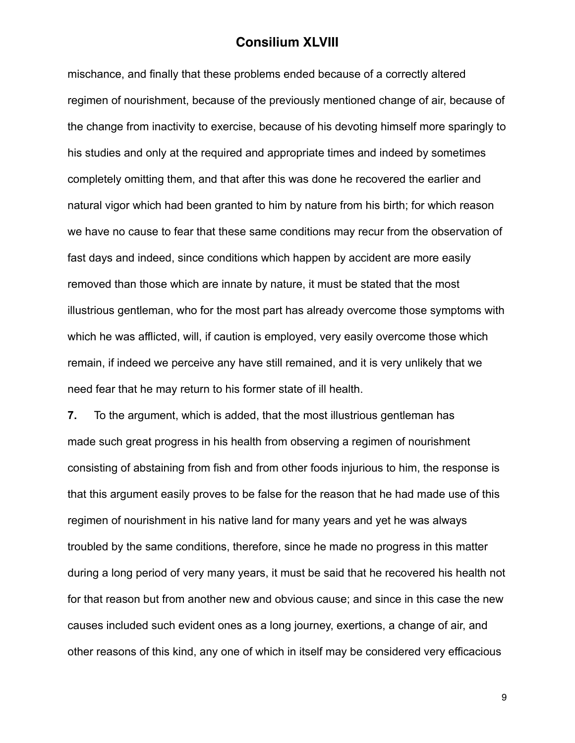mischance, and finally that these problems ended because of a correctly altered regimen of nourishment, because of the previously mentioned change of air, because of the change from inactivity to exercise, because of his devoting himself more sparingly to his studies and only at the required and appropriate times and indeed by sometimes completely omitting them, and that after this was done he recovered the earlier and natural vigor which had been granted to him by nature from his birth; for which reason we have no cause to fear that these same conditions may recur from the observation of fast days and indeed, since conditions which happen by accident are more easily removed than those which are innate by nature, it must be stated that the most illustrious gentleman, who for the most part has already overcome those symptoms with which he was afflicted, will, if caution is employed, very easily overcome those which remain, if indeed we perceive any have still remained, and it is very unlikely that we need fear that he may return to his former state of ill health.

**7.** To the argument, which is added, that the most illustrious gentleman has made such great progress in his health from observing a regimen of nourishment consisting of abstaining from fish and from other foods injurious to him, the response is that this argument easily proves to be false for the reason that he had made use of this regimen of nourishment in his native land for many years and yet he was always troubled by the same conditions, therefore, since he made no progress in this matter during a long period of very many years, it must be said that he recovered his health not for that reason but from another new and obvious cause; and since in this case the new causes included such evident ones as a long journey, exertions, a change of air, and other reasons of this kind, any one of which in itself may be considered very efficacious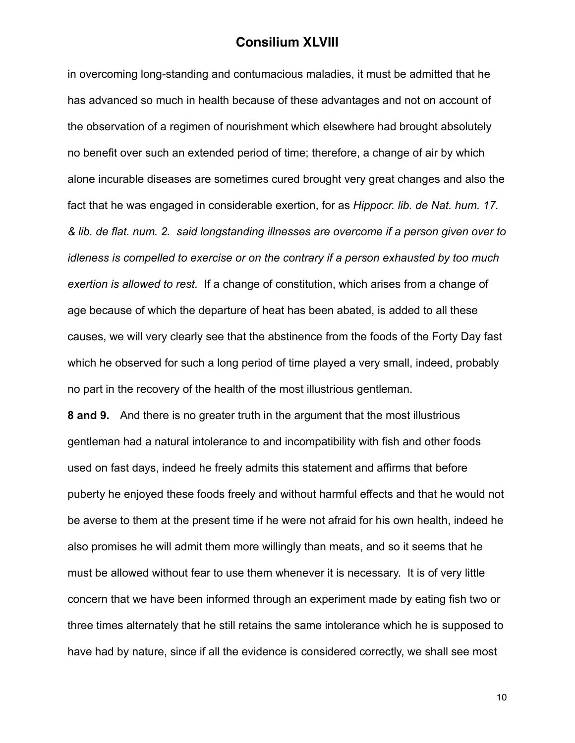in overcoming long-standing and contumacious maladies, it must be admitted that he has advanced so much in health because of these advantages and not on account of the observation of a regimen of nourishment which elsewhere had brought absolutely no benefit over such an extended period of time; therefore, a change of air by which alone incurable diseases are sometimes cured brought very great changes and also the fact that he was engaged in considerable exertion, for as *Hippocr. lib. de Nat. hum. 17. & lib. de flat. num. 2. said longstanding illnesses are overcome if a person given over to idleness is compelled to exercise or on the contrary if a person exhausted by too much exertion is allowed to rest.* If a change of constitution, which arises from a change of age because of which the departure of heat has been abated, is added to all these causes, we will very clearly see that the abstinence from the foods of the Forty Day fast which he observed for such a long period of time played a very small, indeed, probably no part in the recovery of the health of the most illustrious gentleman.

**8 and 9.** And there is no greater truth in the argument that the most illustrious gentleman had a natural intolerance to and incompatibility with fish and other foods used on fast days, indeed he freely admits this statement and affirms that before puberty he enjoyed these foods freely and without harmful effects and that he would not be averse to them at the present time if he were not afraid for his own health, indeed he also promises he will admit them more willingly than meats, and so it seems that he must be allowed without fear to use them whenever it is necessary. It is of very little concern that we have been informed through an experiment made by eating fish two or three times alternately that he still retains the same intolerance which he is supposed to have had by nature, since if all the evidence is considered correctly, we shall see most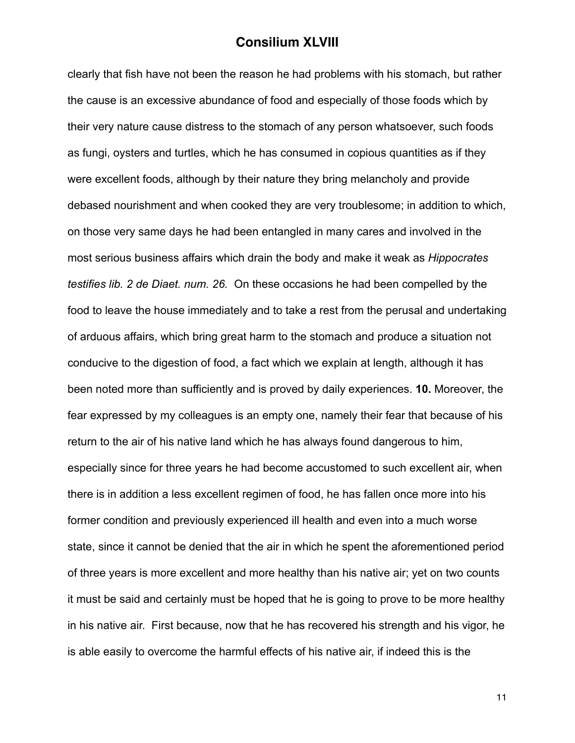clearly that fish have not been the reason he had problems with his stomach, but rather the cause is an excessive abundance of food and especially of those foods which by their very nature cause distress to the stomach of any person whatsoever, such foods as fungi, oysters and turtles, which he has consumed in copious quantities as if they were excellent foods, although by their nature they bring melancholy and provide debased nourishment and when cooked they are very troublesome; in addition to which, on those very same days he had been entangled in many cares and involved in the most serious business affairs which drain the body and make it weak as *Hippocrates testifies lib. 2 de Diaet. num. 26.* On these occasions he had been compelled by the food to leave the house immediately and to take a rest from the perusal and undertaking of arduous affairs, which bring great harm to the stomach and produce a situation not conducive to the digestion of food, a fact which we explain at length, although it has been noted more than sufficiently and is proved by daily experiences. **10.** Moreover, the fear expressed by my colleagues is an empty one, namely their fear that because of his return to the air of his native land which he has always found dangerous to him, especially since for three years he had become accustomed to such excellent air, when there is in addition a less excellent regimen of food, he has fallen once more into his former condition and previously experienced ill health and even into a much worse state, since it cannot be denied that the air in which he spent the aforementioned period of three years is more excellent and more healthy than his native air; yet on two counts it must be said and certainly must be hoped that he is going to prove to be more healthy in his native air. First because, now that he has recovered his strength and his vigor, he is able easily to overcome the harmful effects of his native air, if indeed this is the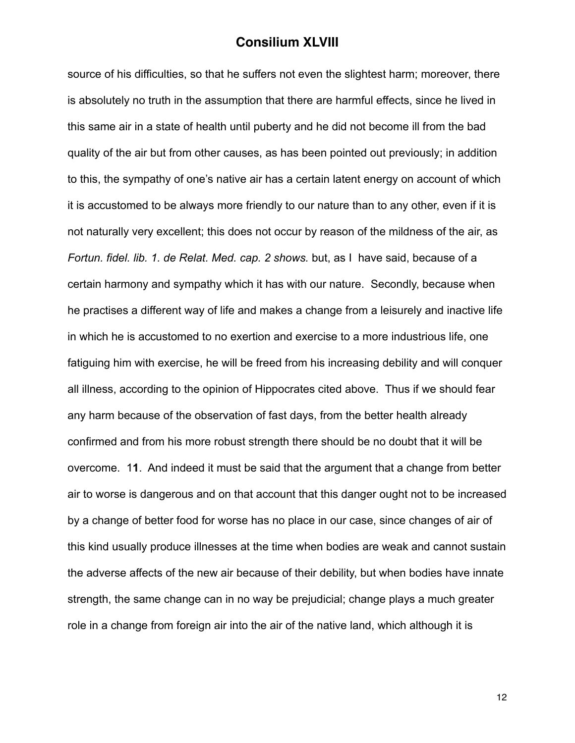source of his difficulties, so that he suffers not even the slightest harm; moreover, there is absolutely no truth in the assumption that there are harmful effects, since he lived in this same air in a state of health until puberty and he did not become ill from the bad quality of the air but from other causes, as has been pointed out previously; in addition to this, the sympathy of one's native air has a certain latent energy on account of which it is accustomed to be always more friendly to our nature than to any other, even if it is not naturally very excellent; this does not occur by reason of the mildness of the air, as *Fortun. fidel. lib. 1. de Relat. Med. cap. 2 shows. but, as I have said, because of a* certain harmony and sympathy which it has with our nature. Secondly, because when he practises a different way of life and makes a change from a leisurely and inactive life in which he is accustomed to no exertion and exercise to a more industrious life, one fatiguing him with exercise, he will be freed from his increasing debility and will conquer all illness, according to the opinion of Hippocrates cited above. Thus if we should fear any harm because of the observation of fast days, from the better health already confirmed and from his more robust strength there should be no doubt that it will be overcome. 1**1**. And indeed it must be said that the argument that a change from better air to worse is dangerous and on that account that this danger ought not to be increased by a change of better food for worse has no place in our case, since changes of air of this kind usually produce illnesses at the time when bodies are weak and cannot sustain the adverse affects of the new air because of their debility, but when bodies have innate strength, the same change can in no way be prejudicial; change plays a much greater role in a change from foreign air into the air of the native land, which although it is